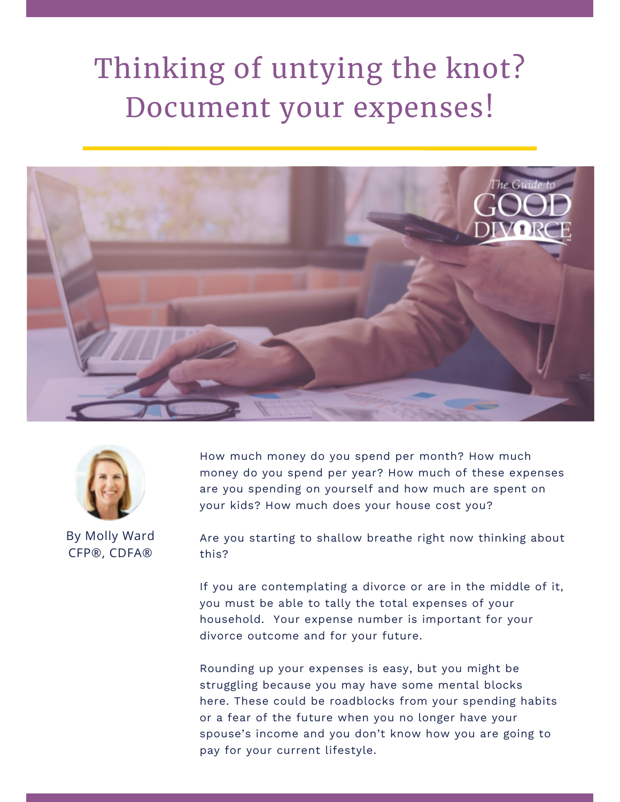## Thinking of untying the knot? Document your expenses!





By Molly Ward CFP®, CDFA®

How much money do you spend per month? How much money do you spend per year? How much of these expenses are you spending on yourself and how much are spent on your kids? How much does your house cost you?

Are you starting to shallow breathe right now thinking about this?

If you are contemplating a divorce or are in the middle of it, you must be able to tally the total expenses of your household. Your expense number is important for your divorce outcome and for your future.

Rounding up your expenses is easy, but you might be struggling because you may have some mental blocks here. These could be roadblocks from your spending habits or a fear of the future when you no longer have your spouse's income and you don't know how you are going to pay for your current lifestyle.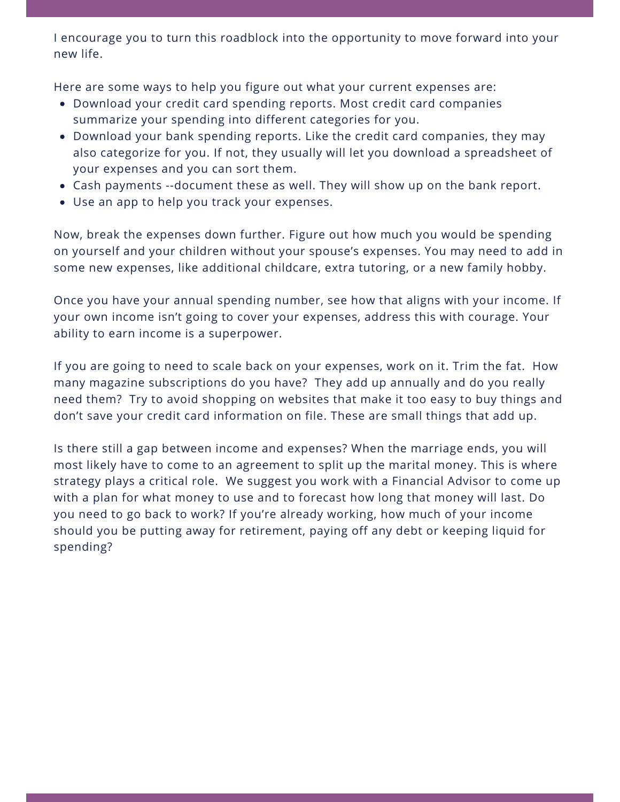I encourage you to turn this roadblock into the opportunity to move forward into your new life.

Here are some ways to help you figure out what your current expenses are:

- Download your credit card spending reports. Most credit card companies summarize your spending into different categories for you.
- Download your bank spending reports. Like the credit card companies, they may also categorize for you. If not, they usually will let you download a spreadsheet of your expenses and you can sort them.
- Cash payments --document these as well. They will show up on the bank report.
- Use an app to help you track your expenses.

Now, break the expenses down further. Figure out how much you would be spending on yourself and your children without your spouse's expenses. You may need to add in some new expenses, like additional childcare, extra tutoring, or a new family hobby.

Once you have your annual spending number, see how that aligns with your income. If your own income isn't going to cover your expenses, address this with courage. Your ability to earn income is a superpower.

If you are going to need to scale back on your expenses, work on it. Trim the fat. How many magazine subscriptions do you have? They add up annually and do you really need them? Try to avoid shopping on websites that make it too easy to buy things and don't save your credit card information on file. These are small things that add up.

Is there still a gap between income and expenses? When the marriage ends, you will most likely have to come to an agreement to split up the marital money. This is where strategy plays a critical role. We suggest you work with a Financial Advisor to come up with a plan for what money to use and to forecast how long that money will last. Do you need to go back to work? If you're already working, how much of your income should you be putting away for retirement, paying off any debt or keeping liquid for spending?